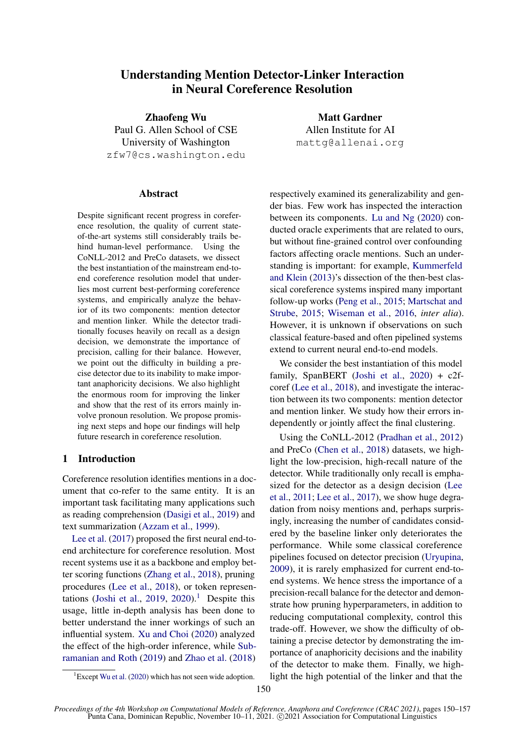# Understanding Mention Detector-Linker Interaction in Neural Coreference Resolution

Zhaofeng Wu Paul G. Allen School of CSE University of Washington zfw7@cs.washington.edu

#### Abstract

Despite significant recent progress in coreference resolution, the quality of current stateof-the-art systems still considerably trails behind human-level performance. Using the CoNLL-2012 and PreCo datasets, we dissect the best instantiation of the mainstream end-toend coreference resolution model that underlies most current best-performing coreference systems, and empirically analyze the behavior of its two components: mention detector and mention linker. While the detector traditionally focuses heavily on recall as a design decision, we demonstrate the importance of precision, calling for their balance. However, we point out the difficulty in building a precise detector due to its inability to make important anaphoricity decisions. We also highlight the enormous room for improving the linker and show that the rest of its errors mainly involve pronoun resolution. We propose promising next steps and hope our findings will help future research in coreference resolution.

## 1 Introduction

Coreference resolution identifies mentions in a document that co-refer to the same entity. It is an important task facilitating many applications such as reading comprehension [\(Dasigi et al.,](#page-5-0) [2019\)](#page-5-0) and text summarization [\(Azzam et al.,](#page-5-1) [1999\)](#page-5-1).

[Lee et al.](#page-5-2) [\(2017\)](#page-5-2) proposed the first neural end-toend architecture for coreference resolution. Most recent systems use it as a backbone and employ better scoring functions [\(Zhang et al.,](#page-6-0) [2018\)](#page-6-0), pruning procedures [\(Lee et al.,](#page-5-3) [2018\)](#page-5-3), or token represen-tations [\(Joshi et al.,](#page-5-4) [2019,](#page-5-4) [2020\)](#page-5-5).<sup>[1](#page-0-0)</sup> Despite this usage, little in-depth analysis has been done to better understand the inner workings of such an influential system. [Xu and Choi](#page-6-1) [\(2020\)](#page-6-1) analyzed the effect of the high-order inference, while [Sub](#page-6-2)[ramanian and Roth](#page-6-2) [\(2019\)](#page-6-2) and [Zhao et al.](#page-6-3) [\(2018\)](#page-6-3)

Matt Gardner Allen Institute for AI mattg@allenai.org

respectively examined its generalizability and gender bias. Few work has inspected the interaction between its components. [Lu and Ng](#page-5-6) [\(2020\)](#page-5-6) conducted oracle experiments that are related to ours, but without fine-grained control over confounding factors affecting oracle mentions. Such an understanding is important: for example, [Kummerfeld](#page-5-7) [and Klein](#page-5-7) [\(2013\)](#page-5-7)'s dissection of the then-best classical coreference systems inspired many important follow-up works [\(Peng et al.,](#page-5-8) [2015;](#page-5-8) [Martschat and](#page-5-9) [Strube,](#page-5-9) [2015;](#page-5-9) [Wiseman et al.,](#page-6-5) [2016,](#page-6-5) *inter alia*). However, it is unknown if observations on such classical feature-based and often pipelined systems extend to current neural end-to-end models.

We consider the best instantiation of this model family, SpanBERT [\(Joshi et al.,](#page-5-5) [2020\)](#page-5-5) + c2fcoref [\(Lee et al.,](#page-5-3) [2018\)](#page-5-3), and investigate the interaction between its two components: mention detector and mention linker. We study how their errors independently or jointly affect the final clustering.

Using the CoNLL-2012 [\(Pradhan et al.,](#page-6-6) [2012\)](#page-6-6) and PreCo [\(Chen et al.,](#page-5-10) [2018\)](#page-5-10) datasets, we highlight the low-precision, high-recall nature of the detector. While traditionally only recall is emphasized for the detector as a design decision [\(Lee](#page-5-11) [et al.,](#page-5-11) [2011;](#page-5-11) [Lee et al.,](#page-5-2) [2017\)](#page-5-2), we show huge degradation from noisy mentions and, perhaps surprisingly, increasing the number of candidates considered by the baseline linker only deteriorates the performance. While some classical coreference pipelines focused on detector precision [\(Uryupina,](#page-6-7) [2009\)](#page-6-7), it is rarely emphasized for current end-toend systems. We hence stress the importance of a precision-recall balance for the detector and demonstrate how pruning hyperparameters, in addition to reducing computational complexity, control this trade-off. However, we show the difficulty of obtaining a precise detector by demonstrating the importance of anaphoricity decisions and the inability of the detector to make them. Finally, we highlight the high potential of the linker and that the

<span id="page-0-0"></span> ${}^{1}$ Except [Wu et al.](#page-6-4) [\(2020\)](#page-6-4) which has not seen wide adoption.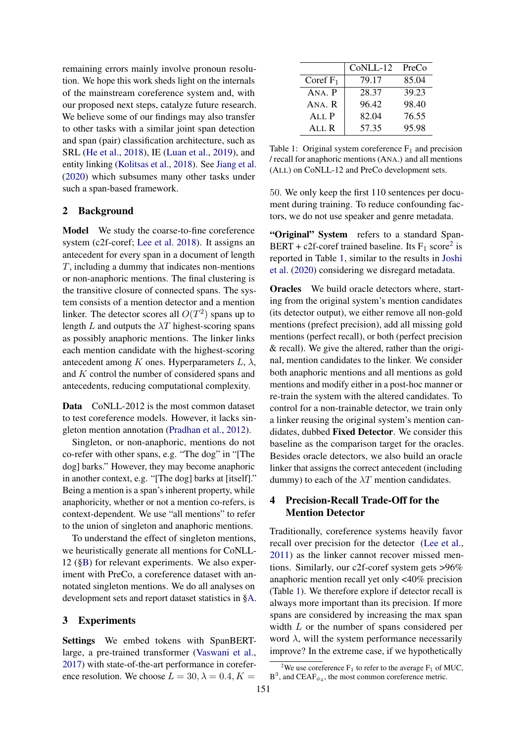remaining errors mainly involve pronoun resolution. We hope this work sheds light on the internals of the mainstream coreference system and, with our proposed next steps, catalyze future research. We believe some of our findings may also transfer to other tasks with a similar joint span detection and span (pair) classification architecture, such as SRL [\(He et al.,](#page-5-12) [2018\)](#page-5-12), IE [\(Luan et al.,](#page-5-13) [2019\)](#page-5-13), and entity linking [\(Kolitsas et al.,](#page-5-14) [2018\)](#page-5-14). See [Jiang et al.](#page-5-15) [\(2020\)](#page-5-15) which subsumes many other tasks under such a span-based framework.

#### 2 Background

Model We study the coarse-to-fine coreference system (c2f-coref; [Lee et al.](#page-5-3) [2018\)](#page-5-3). It assigns an antecedent for every span in a document of length T, including a dummy that indicates non-mentions or non-anaphoric mentions. The final clustering is the transitive closure of connected spans. The system consists of a mention detector and a mention linker. The detector scores all  $O(T^2)$  spans up to length L and outputs the  $\lambda T$  highest-scoring spans as possibly anaphoric mentions. The linker links each mention candidate with the highest-scoring antecedent among K ones. Hyperparameters  $L, \lambda$ , and K control the number of considered spans and antecedents, reducing computational complexity.

Data CoNLL-2012 is the most common dataset to test coreference models. However, it lacks singleton mention annotation [\(Pradhan et al.,](#page-6-6) [2012\)](#page-6-6).

Singleton, or non-anaphoric, mentions do not co-refer with other spans, e.g. "The dog" in "[The dog] barks." However, they may become anaphoric in another context, e.g. "[The dog] barks at [itself]." Being a mention is a span's inherent property, while anaphoricity, whether or not a mention co-refers, is context-dependent. We use "all mentions" to refer to the union of singleton and anaphoric mentions.

To understand the effect of singleton mentions, we heuristically generate all mentions for CoNLL-12 ([§B\)](#page-7-0) for relevant experiments. We also experiment with PreCo, a coreference dataset with annotated singleton mentions. We do all analyses on development sets and report dataset statistics in [§A.](#page-7-1)

## 3 Experiments

Settings We embed tokens with SpanBERTlarge, a pre-trained transformer [\(Vaswani et al.,](#page-6-8) [2017\)](#page-6-8) with state-of-the-art performance in coreference resolution. We choose  $L = 30, \lambda = 0.4, K =$ 

<span id="page-1-1"></span>

|             | CoNLL-12 | PreCo |
|-------------|----------|-------|
| Coref $F_1$ | 79.17    | 85.04 |
| ANA. P      | 28.37    | 39.23 |
| ANA. R      | 96.42    | 98.40 |
| ALL P       | 82.04    | 76.55 |
| ALL R       | 57.35    | 95.98 |

Table 1: Original system coreference  $F_1$  and precision / recall for anaphoric mentions (ANA.) and all mentions (ALL) on CoNLL-12 and PreCo development sets.

50. We only keep the first 110 sentences per document during training. To reduce confounding factors, we do not use speaker and genre metadata.

"Original" System refers to a standard Span-BERT + c[2](#page-1-0)f-coref trained baseline. Its  $F_1$  score<sup>2</sup> is reported in Table [1,](#page-1-1) similar to the results in [Joshi](#page-5-5) [et al.](#page-5-5) [\(2020\)](#page-5-5) considering we disregard metadata.

Oracles We build oracle detectors where, starting from the original system's mention candidates (its detector output), we either remove all non-gold mentions (prefect precision), add all missing gold mentions (perfect recall), or both (perfect precision & recall). We give the altered, rather than the original, mention candidates to the linker. We consider both anaphoric mentions and all mentions as gold mentions and modify either in a post-hoc manner or re-train the system with the altered candidates. To control for a non-trainable detector, we train only a linker reusing the original system's mention candidates, dubbed Fixed Detector. We consider this baseline as the comparison target for the oracles. Besides oracle detectors, we also build an oracle linker that assigns the correct antecedent (including dummy) to each of the  $\lambda T$  mention candidates.

# <span id="page-1-2"></span>4 Precision-Recall Trade-Off for the Mention Detector

Traditionally, coreference systems heavily favor recall over precision for the detector [\(Lee et al.,](#page-5-11) [2011\)](#page-5-11) as the linker cannot recover missed mentions. Similarly, our c2f-coref system gets >96% anaphoric mention recall yet only <40% precision (Table [1\)](#page-1-1). We therefore explore if detector recall is always more important than its precision. If more spans are considered by increasing the max span width L or the number of spans considered per word  $\lambda$ , will the system performance necessarily improve? In the extreme case, if we hypothetically

<span id="page-1-0"></span><sup>&</sup>lt;sup>2</sup>We use coreference  $F_1$  to refer to the average  $F_1$  of MUC,  $B^3$ , and CEAF<sub> $\phi_4$ </sub>, the most common coreference metric.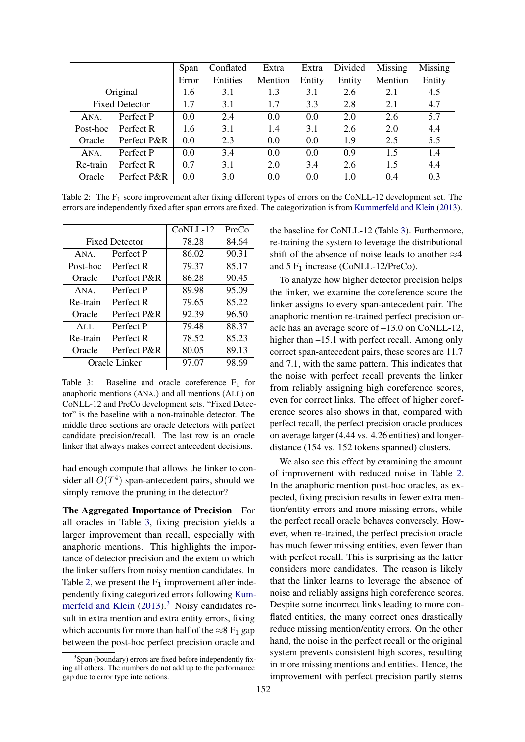<span id="page-2-1"></span>

|          |                       | Span  | Conflated | Extra   | Extra  | Divided | Missing | Missing |
|----------|-----------------------|-------|-----------|---------|--------|---------|---------|---------|
|          |                       | Error | Entities  | Mention | Entity | Entity  | Mention | Entity  |
|          | Original              | 1.6   | 3.1       | 1.3     | 3.1    | 2.6     | 2.1     | 4.5     |
|          | <b>Fixed Detector</b> | 1.7   | 3.1       | 1.7     | 3.3    | 2.8     | 2.1     | 4.7     |
| ANA.     | Perfect P             | 0.0   | 2.4       | 0.0     | 0.0    | 2.0     | 2.6     | 5.7     |
| Post-hoc | Perfect R             | 1.6   | 3.1       | 1.4     | 3.1    | 2.6     | 2.0     | 4.4     |
| Oracle   | Perfect P&R           | 0.0   | 2.3       | 0.0     | 0.0    | 1.9     | 2.5     | 5.5     |
| ANA.     | Perfect P             | 0.0   | 3.4       | 0.0     | 0.0    | 0.9     | 1.5     | 1.4     |
| Re-train | Perfect R             | 0.7   | 3.1       | 2.0     | 3.4    | 2.6     | 1.5     | 4.4     |
| Oracle   | Perfect P&R           | 0.0   | 3.0       | 0.0     | 0.0    | 1.0     | 0.4     | 0.3     |

Table 2: The  $F_1$  score improvement after fixing different types of errors on the CoNLL-12 development set. The errors are independently fixed after span errors are fixed. The categorization is from [Kummerfeld and Klein](#page-5-7) [\(2013\)](#page-5-7).

<span id="page-2-0"></span>

|                       |             | CoNLL-12 | PreCo |
|-----------------------|-------------|----------|-------|
| <b>Fixed Detector</b> |             | 78.28    | 84.64 |
| ANA.                  | Perfect P   | 86.02    | 90.31 |
| Post-hoc              | Perfect R   | 79.37    | 85.17 |
| Oracle                | Perfect P&R | 86.28    | 90.45 |
| $ANA$ .               | Perfect P   | 89.98    | 95.09 |
| Re-train              | Perfect R   | 79.65    | 85.22 |
| Oracle                | Perfect P&R | 92.39    | 96.50 |
| AI.I.                 | Perfect P   | 79.48    | 88.37 |
| Re-train              | Perfect R   | 78.52    | 85.23 |
| Oracle                | Perfect P&R | 80.05    | 89.13 |
| Oracle Linker         |             | 97.07    | 98.69 |

Table 3: Baseline and oracle coreference  $F_1$  for anaphoric mentions (ANA.) and all mentions (ALL) on CoNLL-12 and PreCo development sets. "Fixed Detector" is the baseline with a non-trainable detector. The middle three sections are oracle detectors with perfect candidate precision/recall. The last row is an oracle linker that always makes correct antecedent decisions.

had enough compute that allows the linker to consider all  $O(T^4)$  span-antecedent pairs, should we simply remove the pruning in the detector?

The Aggregated Importance of Precision For all oracles in Table [3,](#page-2-0) fixing precision yields a larger improvement than recall, especially with anaphoric mentions. This highlights the importance of detector precision and the extent to which the linker suffers from noisy mention candidates. In Table [2,](#page-2-1) we present the  $F_1$  improvement after independently fixing categorized errors following [Kum](#page-5-7)[merfeld and Klein](#page-5-7)  $(2013)$ .<sup>[3](#page-2-2)</sup> Noisy candidates result in extra mention and extra entity errors, fixing which accounts for more than half of the  $\approx 8 \text{ F}_1$  gap between the post-hoc perfect precision oracle and

the baseline for CoNLL-12 (Table [3\)](#page-2-0). Furthermore, re-training the system to leverage the distributional shift of the absence of noise leads to another  $\approx$ 4 and  $5 F_1$  increase (CoNLL-12/PreCo).

To analyze how higher detector precision helps the linker, we examine the coreference score the linker assigns to every span-antecedent pair. The anaphoric mention re-trained perfect precision oracle has an average score of –13.0 on CoNLL-12, higher than  $-15.1$  with perfect recall. Among only correct span-antecedent pairs, these scores are 11.7 and 7.1, with the same pattern. This indicates that the noise with perfect recall prevents the linker from reliably assigning high coreference scores, even for correct links. The effect of higher coreference scores also shows in that, compared with perfect recall, the perfect precision oracle produces on average larger (4.44 vs. 4.26 entities) and longerdistance (154 vs. 152 tokens spanned) clusters.

We also see this effect by examining the amount of improvement with reduced noise in Table [2.](#page-2-1) In the anaphoric mention post-hoc oracles, as expected, fixing precision results in fewer extra mention/entity errors and more missing errors, while the perfect recall oracle behaves conversely. However, when re-trained, the perfect precision oracle has much fewer missing entities, even fewer than with perfect recall. This is surprising as the latter considers more candidates. The reason is likely that the linker learns to leverage the absence of noise and reliably assigns high coreference scores. Despite some incorrect links leading to more conflated entities, the many correct ones drastically reduce missing mention/entity errors. On the other hand, the noise in the perfect recall or the original system prevents consistent high scores, resulting in more missing mentions and entities. Hence, the improvement with perfect precision partly stems

<span id="page-2-2"></span><sup>&</sup>lt;sup>3</sup>Span (boundary) errors are fixed before independently fixing all others. The numbers do not add up to the performance gap due to error type interactions.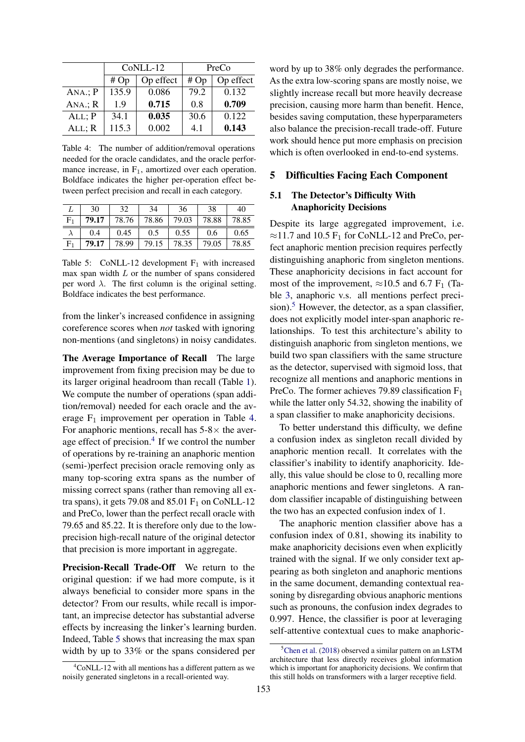<span id="page-3-0"></span>

|             |       | CoNLL-12  | PreCo |           |  |
|-------------|-------|-----------|-------|-----------|--|
|             | #Op   | Op effect | #Op   | Op effect |  |
| $ANA$ : P   | 135.9 | 0.086     | 79.2  | 0.132     |  |
| $ANA$ : $R$ | 1.9   | 0.715     | 0.8   | 0.709     |  |
| $ALL$ ; $P$ | 34.1  | 0.035     | 30.6  | 0.122     |  |
| ALL; R      | 115.3 | 0.002     | 4.1   | 0.143     |  |

Table 4: The number of addition/removal operations needed for the oracle candidates, and the oracle performance increase, in  $F_1$ , amortized over each operation. Boldface indicates the higher per-operation effect between perfect precision and recall in each category.

<span id="page-3-2"></span>

|                | 30    | 32    | 34    | 36    | 38    | 40    |
|----------------|-------|-------|-------|-------|-------|-------|
| F <sub>1</sub> | 79.17 | 78.76 | 78.86 | 79.03 | 78.88 | 78.85 |
|                | 0.4   | 0.45  | 0.5   | 0.55  | 0.6   | 0.65  |
| F <sub>1</sub> | 79.17 | 78.99 | 79.15 | 78.35 | 79.05 | 78.85 |

Table 5: CoNLL-12 development  $F_1$  with increased max span width  $L$  or the number of spans considered per word  $\lambda$ . The first column is the original setting. Boldface indicates the best performance.

from the linker's increased confidence in assigning coreference scores when *not* tasked with ignoring non-mentions (and singletons) in noisy candidates.

The Average Importance of Recall The large improvement from fixing precision may be due to its larger original headroom than recall (Table [1\)](#page-1-1). We compute the number of operations (span addition/removal) needed for each oracle and the average  $F_1$  improvement per operation in Table [4.](#page-3-0) For anaphoric mentions, recall has  $5-8\times$  the aver-age effect of precision.<sup>[4](#page-3-1)</sup> If we control the number of operations by re-training an anaphoric mention (semi-)perfect precision oracle removing only as many top-scoring extra spans as the number of missing correct spans (rather than removing all extra spans), it gets 79.08 and 85.01  $F_1$  on CoNLL-12 and PreCo, lower than the perfect recall oracle with 79.65 and 85.22. It is therefore only due to the lowprecision high-recall nature of the original detector that precision is more important in aggregate.

Precision-Recall Trade-Off We return to the original question: if we had more compute, is it always beneficial to consider more spans in the detector? From our results, while recall is important, an imprecise detector has substantial adverse effects by increasing the linker's learning burden. Indeed, Table [5](#page-3-2) shows that increasing the max span width by up to 33% or the spans considered per

<span id="page-3-1"></span> ${}^{4}$ CoNLL-12 with all mentions has a different pattern as we noisily generated singletons in a recall-oriented way.

word by up to 38% only degrades the performance. As the extra low-scoring spans are mostly noise, we slightly increase recall but more heavily decrease precision, causing more harm than benefit. Hence, besides saving computation, these hyperparameters also balance the precision-recall trade-off. Future work should hence put more emphasis on precision which is often overlooked in end-to-end systems.

#### 5 Difficulties Facing Each Component

#### <span id="page-3-4"></span>5.1 The Detector's Difficulty With Anaphoricity Decisions

Despite its large aggregated improvement, i.e.  $\approx$ 11.7 and 10.5 F<sub>1</sub> for CoNLL-12 and PreCo, perfect anaphoric mention precision requires perfectly distinguishing anaphoric from singleton mentions. These anaphoricity decisions in fact account for most of the improvement,  $\approx$ 10.5 and 6.7 F<sub>1</sub> (Table [3,](#page-2-0) anaphoric v.s. all mentions perfect preci-sion).<sup>[5](#page-3-3)</sup> However, the detector, as a span classifier, does not explicitly model inter-span anaphoric relationships. To test this architecture's ability to distinguish anaphoric from singleton mentions, we build two span classifiers with the same structure as the detector, supervised with sigmoid loss, that recognize all mentions and anaphoric mentions in PreCo. The former achieves 79.89 classification  $F_1$ while the latter only 54.32, showing the inability of a span classifier to make anaphoricity decisions.

To better understand this difficulty, we define a confusion index as singleton recall divided by anaphoric mention recall. It correlates with the classifier's inability to identify anaphoricity. Ideally, this value should be close to 0, recalling more anaphoric mentions and fewer singletons. A random classifier incapable of distinguishing between the two has an expected confusion index of 1.

The anaphoric mention classifier above has a confusion index of 0.81, showing its inability to make anaphoricity decisions even when explicitly trained with the signal. If we only consider text appearing as both singleton and anaphoric mentions in the same document, demanding contextual reasoning by disregarding obvious anaphoric mentions such as pronouns, the confusion index degrades to 0.997. Hence, the classifier is poor at leveraging self-attentive contextual cues to make anaphoric-

<span id="page-3-3"></span> ${}^{5}$ [Chen et al.](#page-5-10) [\(2018\)](#page-5-10) observed a similar pattern on an LSTM architecture that less directly receives global information which is important for anaphoricity decisions. We confirm that this still holds on transformers with a larger receptive field.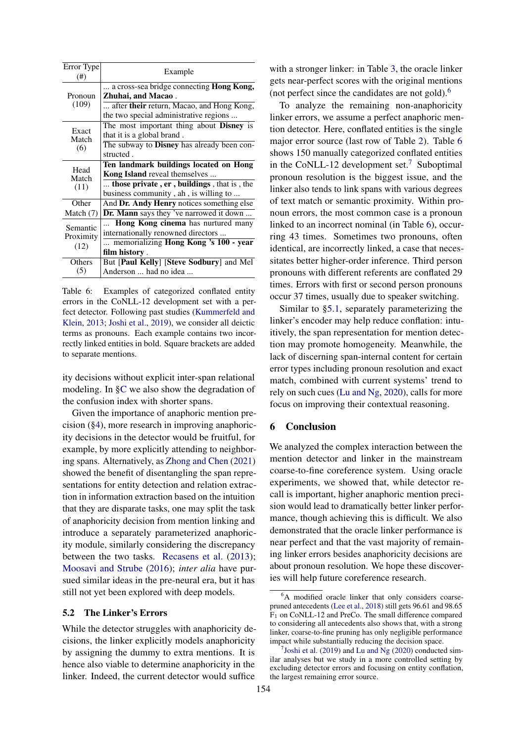<span id="page-4-1"></span>

| Error Type<br>$^{(#)}$ | Example                                           |
|------------------------|---------------------------------------------------|
|                        | a cross-sea bridge connecting <b>Hong Kong</b> ,  |
| Pronoun                | Zhuhai, and Macao.                                |
| (109)                  | after <b>their</b> return, Macao, and Hong Kong,  |
|                        | the two special administrative regions            |
|                        | The most important thing about Disney is          |
| Exact<br>Match<br>(6)  | that it is a global brand.                        |
|                        | The subway to <b>Disney</b> has already been con- |
|                        | structed.                                         |
|                        | Ten landmark buildings located on Hong            |
| Head<br>Match          | <b>Kong Island</b> reveal themselves              |
| (11)                   | those private, er, buildings, that is, the        |
|                        | business community, ah, is willing to             |
| Other                  | And Dr. Andy Henry notices something else         |
| Match $(7)$            | <b>Dr. Mann</b> says they 've narrowed it down    |
| Semantic               | Hong Kong cinema has nurtured many                |
| Proximity              | internationally renowned directors                |
| (12)                   | memorializing <b>Hong Kong</b> 's 100 - year      |
|                        | film history.                                     |
| Others                 | But [Paul Kelly] [Steve Sodbury] and Mel          |
| (5)                    | Anderson  had no idea                             |

Table 6: Examples of categorized conflated entity errors in the CoNLL-12 development set with a perfect detector. Following past studies [\(Kummerfeld and](#page-5-7) [Klein,](#page-5-7) [2013;](#page-5-7) [Joshi et al.,](#page-5-4) [2019\)](#page-5-4), we consider all deictic terms as pronouns. Each example contains two incorrectly linked entities in bold. Square brackets are added to separate mentions.

ity decisions without explicit inter-span relational modeling. In [§C](#page-7-2) we also show the degradation of the confusion index with shorter spans.

Given the importance of anaphoric mention precision ([§4\)](#page-1-2), more research in improving anaphoricity decisions in the detector would be fruitful, for example, by more explicitly attending to neighboring spans. Alternatively, as [Zhong and Chen](#page-6-9) [\(2021\)](#page-6-9) showed the benefit of disentangling the span representations for entity detection and relation extraction in information extraction based on the intuition that they are disparate tasks, one may split the task of anaphoricity decision from mention linking and introduce a separately parameterized anaphoricity module, similarly considering the discrepancy between the two tasks. [Recasens et al.](#page-6-10) [\(2013\)](#page-6-10); [Moosavi and Strube](#page-5-16) [\(2016\)](#page-5-16); *inter alia* have pursued similar ideas in the pre-neural era, but it has still not yet been explored with deep models.

#### 5.2 The Linker's Errors

While the detector struggles with anaphoricity decisions, the linker explicitly models anaphoricity by assigning the dummy to extra mentions. It is hence also viable to determine anaphoricity in the linker. Indeed, the current detector would suffice

with a stronger linker: in Table [3,](#page-2-0) the oracle linker gets near-perfect scores with the original mentions (not perfect since the candidates are not gold). $<sup>6</sup>$  $<sup>6</sup>$  $<sup>6</sup>$ </sup>

To analyze the remaining non-anaphoricity linker errors, we assume a perfect anaphoric mention detector. Here, conflated entities is the single major error source (last row of Table [2\)](#page-2-1). Table [6](#page-4-1) shows 150 manually categorized conflated entities in the CoNLL-12 development set.<sup>[7](#page-4-2)</sup> Suboptimal pronoun resolution is the biggest issue, and the linker also tends to link spans with various degrees of text match or semantic proximity. Within pronoun errors, the most common case is a pronoun linked to an incorrect nominal (in Table [6\)](#page-4-1), occurring 43 times. Sometimes two pronouns, often identical, are incorrectly linked, a case that necessitates better higher-order inference. Third person pronouns with different referents are conflated 29 times. Errors with first or second person pronouns occur 37 times, usually due to speaker switching.

Similar to [§5.1,](#page-3-4) separately parameterizing the linker's encoder may help reduce conflation: intuitively, the span representation for mention detection may promote homogeneity. Meanwhile, the lack of discerning span-internal content for certain error types including pronoun resolution and exact match, combined with current systems' trend to rely on such cues [\(Lu and Ng,](#page-5-6) [2020\)](#page-5-6), calls for more focus on improving their contextual reasoning.

#### 6 Conclusion

We analyzed the complex interaction between the mention detector and linker in the mainstream coarse-to-fine coreference system. Using oracle experiments, we showed that, while detector recall is important, higher anaphoric mention precision would lead to dramatically better linker performance, though achieving this is difficult. We also demonstrated that the oracle linker performance is near perfect and that the vast majority of remaining linker errors besides anaphoricity decisions are about pronoun resolution. We hope these discoveries will help future coreference research.

<span id="page-4-0"></span><sup>&</sup>lt;sup>6</sup>A modified oracle linker that only considers coarsepruned antecedents [\(Lee et al.,](#page-5-3) [2018\)](#page-5-3) still gets 96.61 and 98.65 F<sup>1</sup> on CoNLL-12 and PreCo. The small difference compared to considering all antecedents also shows that, with a strong linker, coarse-to-fine pruning has only negligible performance impact while substantially reducing the decision space.

<span id="page-4-2"></span> $7$ [Joshi et al.](#page-5-4) [\(2019\)](#page-5-4) and [Lu and Ng](#page-5-6) [\(2020\)](#page-5-6) conducted similar analyses but we study in a more controlled setting by excluding detector errors and focusing on entity conflation, the largest remaining error source.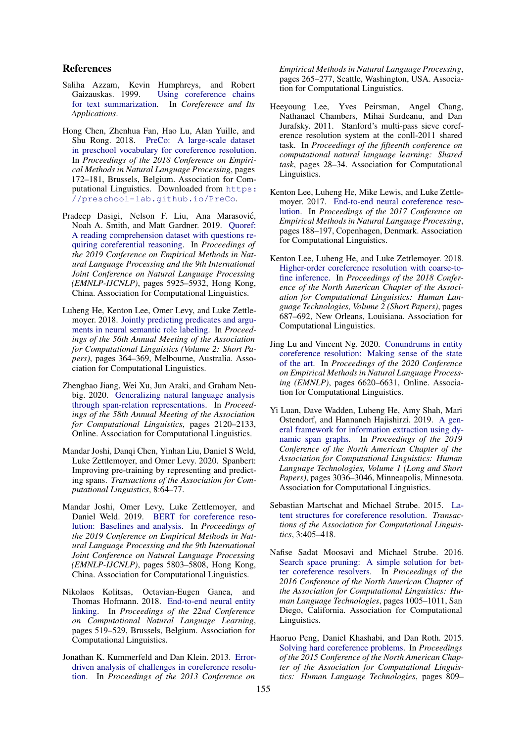#### References

- <span id="page-5-1"></span>Saliha Azzam, Kevin Humphreys, and Robert Gaizauskas. 1999. [Using coreference chains](https://www.aclweb.org/anthology/W99-0211) [for text summarization.](https://www.aclweb.org/anthology/W99-0211) In *Coreference and Its Applications*.
- <span id="page-5-10"></span>Hong Chen, Zhenhua Fan, Hao Lu, Alan Yuille, and Shu Rong. 2018. [PreCo: A large-scale dataset](https://doi.org/10.18653/v1/D18-1016) [in preschool vocabulary for coreference resolution.](https://doi.org/10.18653/v1/D18-1016) In *Proceedings of the 2018 Conference on Empirical Methods in Natural Language Processing*, pages 172–181, Brussels, Belgium. Association for Computational Linguistics. Downloaded from [https:](https://preschool-lab.github.io/PreCo) [//preschool-lab.github.io/PreCo](https://preschool-lab.github.io/PreCo).
- <span id="page-5-0"></span>Pradeep Dasigi, Nelson F. Liu, Ana Marasovic,´ Noah A. Smith, and Matt Gardner. 2019. [Quoref:](https://doi.org/10.18653/v1/D19-1606) [A reading comprehension dataset with questions re](https://doi.org/10.18653/v1/D19-1606)[quiring coreferential reasoning.](https://doi.org/10.18653/v1/D19-1606) In *Proceedings of the 2019 Conference on Empirical Methods in Natural Language Processing and the 9th International Joint Conference on Natural Language Processing (EMNLP-IJCNLP)*, pages 5925–5932, Hong Kong, China. Association for Computational Linguistics.
- <span id="page-5-12"></span>Luheng He, Kenton Lee, Omer Levy, and Luke Zettlemoyer. 2018. [Jointly predicting predicates and argu](https://doi.org/10.18653/v1/P18-2058)[ments in neural semantic role labeling.](https://doi.org/10.18653/v1/P18-2058) In *Proceedings of the 56th Annual Meeting of the Association for Computational Linguistics (Volume 2: Short Papers)*, pages 364–369, Melbourne, Australia. Association for Computational Linguistics.
- <span id="page-5-15"></span>Zhengbao Jiang, Wei Xu, Jun Araki, and Graham Neubig. 2020. [Generalizing natural language analysis](https://doi.org/10.18653/v1/2020.acl-main.192) [through span-relation representations.](https://doi.org/10.18653/v1/2020.acl-main.192) In *Proceedings of the 58th Annual Meeting of the Association for Computational Linguistics*, pages 2120–2133, Online. Association for Computational Linguistics.
- <span id="page-5-5"></span>Mandar Joshi, Danqi Chen, Yinhan Liu, Daniel S Weld, Luke Zettlemoyer, and Omer Levy. 2020. Spanbert: Improving pre-training by representing and predicting spans. *Transactions of the Association for Computational Linguistics*, 8:64–77.
- <span id="page-5-4"></span>Mandar Joshi, Omer Levy, Luke Zettlemoyer, and Daniel Weld. 2019. [BERT for coreference reso](https://doi.org/10.18653/v1/D19-1588)[lution: Baselines and analysis.](https://doi.org/10.18653/v1/D19-1588) In *Proceedings of the 2019 Conference on Empirical Methods in Natural Language Processing and the 9th International Joint Conference on Natural Language Processing (EMNLP-IJCNLP)*, pages 5803–5808, Hong Kong, China. Association for Computational Linguistics.
- <span id="page-5-14"></span>Nikolaos Kolitsas, Octavian-Eugen Ganea, and Thomas Hofmann. 2018. [End-to-end neural entity](https://doi.org/10.18653/v1/K18-1050) [linking.](https://doi.org/10.18653/v1/K18-1050) In *Proceedings of the 22nd Conference on Computational Natural Language Learning*, pages 519–529, Brussels, Belgium. Association for Computational Linguistics.
- <span id="page-5-7"></span>Jonathan K. Kummerfeld and Dan Klein. 2013. [Error](https://www.aclweb.org/anthology/D13-1027)[driven analysis of challenges in coreference resolu](https://www.aclweb.org/anthology/D13-1027)[tion.](https://www.aclweb.org/anthology/D13-1027) In *Proceedings of the 2013 Conference on*

*Empirical Methods in Natural Language Processing*, pages 265–277, Seattle, Washington, USA. Association for Computational Linguistics.

- <span id="page-5-11"></span>Heeyoung Lee, Yves Peirsman, Angel Chang, Nathanael Chambers, Mihai Surdeanu, and Dan Jurafsky. 2011. Stanford's multi-pass sieve coreference resolution system at the conll-2011 shared task. In *Proceedings of the fifteenth conference on computational natural language learning: Shared task*, pages 28–34. Association for Computational Linguistics.
- <span id="page-5-2"></span>Kenton Lee, Luheng He, Mike Lewis, and Luke Zettlemoyer. 2017. [End-to-end neural coreference reso](https://doi.org/10.18653/v1/D17-1018)[lution.](https://doi.org/10.18653/v1/D17-1018) In *Proceedings of the 2017 Conference on Empirical Methods in Natural Language Processing*, pages 188–197, Copenhagen, Denmark. Association for Computational Linguistics.
- <span id="page-5-3"></span>Kenton Lee, Luheng He, and Luke Zettlemoyer. 2018. [Higher-order coreference resolution with coarse-to](https://doi.org/10.18653/v1/N18-2108)[fine inference.](https://doi.org/10.18653/v1/N18-2108) In *Proceedings of the 2018 Conference of the North American Chapter of the Association for Computational Linguistics: Human Language Technologies, Volume 2 (Short Papers)*, pages 687–692, New Orleans, Louisiana. Association for Computational Linguistics.
- <span id="page-5-6"></span>Jing Lu and Vincent Ng. 2020. [Conundrums in entity](https://doi.org/10.18653/v1/2020.emnlp-main.536) [coreference resolution: Making sense of the state](https://doi.org/10.18653/v1/2020.emnlp-main.536) [of the art.](https://doi.org/10.18653/v1/2020.emnlp-main.536) In *Proceedings of the 2020 Conference on Empirical Methods in Natural Language Processing (EMNLP)*, pages 6620–6631, Online. Association for Computational Linguistics.
- <span id="page-5-13"></span>Yi Luan, Dave Wadden, Luheng He, Amy Shah, Mari Ostendorf, and Hannaneh Hajishirzi. 2019. [A gen](https://doi.org/10.18653/v1/N19-1308)[eral framework for information extraction using dy](https://doi.org/10.18653/v1/N19-1308)[namic span graphs.](https://doi.org/10.18653/v1/N19-1308) In *Proceedings of the 2019 Conference of the North American Chapter of the Association for Computational Linguistics: Human Language Technologies, Volume 1 (Long and Short Papers)*, pages 3036–3046, Minneapolis, Minnesota. Association for Computational Linguistics.
- <span id="page-5-9"></span>Sebastian Martschat and Michael Strube. 2015. [La](https://doi.org/10.1162/tacl_a_00147)[tent structures for coreference resolution.](https://doi.org/10.1162/tacl_a_00147) *Transactions of the Association for Computational Linguistics*, 3:405–418.
- <span id="page-5-16"></span>Nafise Sadat Moosavi and Michael Strube. 2016. [Search space pruning: A simple solution for bet](https://doi.org/10.18653/v1/N16-1115)[ter coreference resolvers.](https://doi.org/10.18653/v1/N16-1115) In *Proceedings of the 2016 Conference of the North American Chapter of the Association for Computational Linguistics: Human Language Technologies*, pages 1005–1011, San Diego, California. Association for Computational Linguistics.
- <span id="page-5-8"></span>Haoruo Peng, Daniel Khashabi, and Dan Roth. 2015. [Solving hard coreference problems.](https://doi.org/10.3115/v1/N15-1082) In *Proceedings of the 2015 Conference of the North American Chapter of the Association for Computational Linguistics: Human Language Technologies*, pages 809–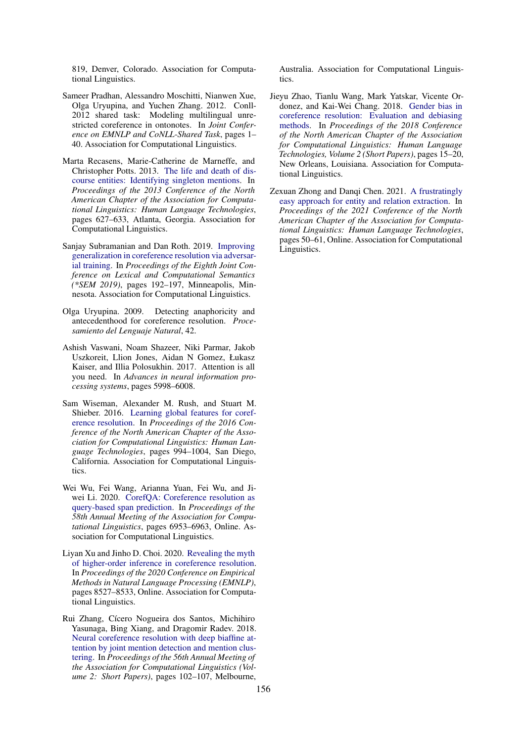819, Denver, Colorado. Association for Computational Linguistics.

- <span id="page-6-6"></span>Sameer Pradhan, Alessandro Moschitti, Nianwen Xue, Olga Uryupina, and Yuchen Zhang. 2012. Conll-2012 shared task: Modeling multilingual unrestricted coreference in ontonotes. In *Joint Conference on EMNLP and CoNLL-Shared Task*, pages 1– 40. Association for Computational Linguistics.
- <span id="page-6-10"></span>Marta Recasens, Marie-Catherine de Marneffe, and Christopher Potts. 2013. [The life and death of dis](https://www.aclweb.org/anthology/N13-1071)[course entities: Identifying singleton mentions.](https://www.aclweb.org/anthology/N13-1071) In *Proceedings of the 2013 Conference of the North American Chapter of the Association for Computational Linguistics: Human Language Technologies*, pages 627–633, Atlanta, Georgia. Association for Computational Linguistics.
- <span id="page-6-2"></span>Sanjay Subramanian and Dan Roth. 2019. [Improving](https://doi.org/10.18653/v1/S19-1021) [generalization in coreference resolution via adversar](https://doi.org/10.18653/v1/S19-1021)[ial training.](https://doi.org/10.18653/v1/S19-1021) In *Proceedings of the Eighth Joint Conference on Lexical and Computational Semantics (\*SEM 2019)*, pages 192–197, Minneapolis, Minnesota. Association for Computational Linguistics.
- <span id="page-6-7"></span>Olga Uryupina. 2009. Detecting anaphoricity and antecedenthood for coreference resolution. *Procesamiento del Lenguaje Natural*, 42.
- <span id="page-6-8"></span>Ashish Vaswani, Noam Shazeer, Niki Parmar, Jakob Uszkoreit, Llion Jones, Aidan N Gomez, Łukasz Kaiser, and Illia Polosukhin. 2017. Attention is all you need. In *Advances in neural information processing systems*, pages 5998–6008.
- <span id="page-6-5"></span>Sam Wiseman, Alexander M. Rush, and Stuart M. Shieber. 2016. [Learning global features for coref](https://doi.org/10.18653/v1/N16-1114)[erence resolution.](https://doi.org/10.18653/v1/N16-1114) In *Proceedings of the 2016 Conference of the North American Chapter of the Association for Computational Linguistics: Human Language Technologies*, pages 994–1004, San Diego, California. Association for Computational Linguistics.
- <span id="page-6-4"></span>Wei Wu, Fei Wang, Arianna Yuan, Fei Wu, and Jiwei Li. 2020. [CorefQA: Coreference resolution as](https://doi.org/10.18653/v1/2020.acl-main.622) [query-based span prediction.](https://doi.org/10.18653/v1/2020.acl-main.622) In *Proceedings of the 58th Annual Meeting of the Association for Computational Linguistics*, pages 6953–6963, Online. Association for Computational Linguistics.
- <span id="page-6-1"></span>Liyan Xu and Jinho D. Choi. 2020. [Revealing the myth](https://doi.org/10.18653/v1/2020.emnlp-main.686) [of higher-order inference in coreference resolution.](https://doi.org/10.18653/v1/2020.emnlp-main.686) In *Proceedings of the 2020 Conference on Empirical Methods in Natural Language Processing (EMNLP)*, pages 8527–8533, Online. Association for Computational Linguistics.
- <span id="page-6-0"></span>Rui Zhang, Cícero Nogueira dos Santos, Michihiro Yasunaga, Bing Xiang, and Dragomir Radev. 2018. [Neural coreference resolution with deep biaffine at](https://doi.org/10.18653/v1/P18-2017)[tention by joint mention detection and mention clus](https://doi.org/10.18653/v1/P18-2017)[tering.](https://doi.org/10.18653/v1/P18-2017) In *Proceedings of the 56th Annual Meeting of the Association for Computational Linguistics (Volume 2: Short Papers)*, pages 102–107, Melbourne,

Australia. Association for Computational Linguistics.

- <span id="page-6-3"></span>Jieyu Zhao, Tianlu Wang, Mark Yatskar, Vicente Ordonez, and Kai-Wei Chang. 2018. [Gender bias in](https://doi.org/10.18653/v1/N18-2003) [coreference resolution: Evaluation and debiasing](https://doi.org/10.18653/v1/N18-2003) [methods.](https://doi.org/10.18653/v1/N18-2003) In *Proceedings of the 2018 Conference of the North American Chapter of the Association for Computational Linguistics: Human Language Technologies, Volume 2 (Short Papers)*, pages 15–20, New Orleans, Louisiana. Association for Computational Linguistics.
- <span id="page-6-9"></span>Zexuan Zhong and Danqi Chen. 2021. [A frustratingly](https://doi.org/10.18653/v1/2021.naacl-main.5) [easy approach for entity and relation extraction.](https://doi.org/10.18653/v1/2021.naacl-main.5) In *Proceedings of the 2021 Conference of the North American Chapter of the Association for Computational Linguistics: Human Language Technologies*, pages 50–61, Online. Association for Computational Linguistics.